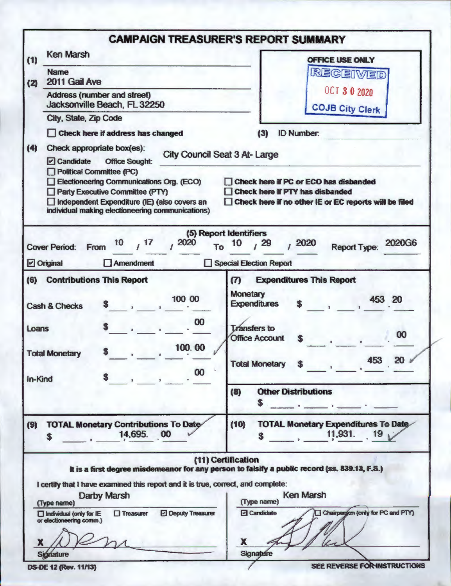|                                                                                                                                                                                                                                                                                                        | <b>CAMPAIGN TREASURER'S REPORT SUMMARY</b>                                                                                                                                      |
|--------------------------------------------------------------------------------------------------------------------------------------------------------------------------------------------------------------------------------------------------------------------------------------------------------|---------------------------------------------------------------------------------------------------------------------------------------------------------------------------------|
| <b>Ken Marsh</b><br>(1)                                                                                                                                                                                                                                                                                | <b>OFFICE USE ONLY</b>                                                                                                                                                          |
| <b>Name</b>                                                                                                                                                                                                                                                                                            | RECEIVED                                                                                                                                                                        |
| 2011 Gail Ave<br>(2)                                                                                                                                                                                                                                                                                   | <b>OCT 3 0 2020</b>                                                                                                                                                             |
| <b>Address (number and street)</b><br>Jacksonville Beach, FL 32250                                                                                                                                                                                                                                     | <b>COJB City Clerk</b>                                                                                                                                                          |
| City, State, Zip Code                                                                                                                                                                                                                                                                                  |                                                                                                                                                                                 |
| Check here if address has changed                                                                                                                                                                                                                                                                      | <b>ID Number:</b><br>(3)                                                                                                                                                        |
| (4)<br>Check appropriate box(es):<br>□ Candidate<br><b>Office Sought:</b><br><b>Political Committee (PC)</b><br>Electioneering Communications Org. (ECO)<br><b>Party Executive Committee (PTY)</b><br>Independent Expenditure (IE) (also covers an<br>individual making electioneering communications) | <b>City Council Seat 3 At-Large</b><br>Check here if PC or ECO has disbanded<br><b>Check here if PTY has disbanded</b><br>Check here if no other IE or EC reports will be filed |
| 17<br>2020<br>10<br><b>Cover Period:</b><br>From                                                                                                                                                                                                                                                       | (5) Report Identifiers<br><b>2020G6</b><br>2020<br>29<br>10<br><b>Report Type:</b><br>To                                                                                        |
| $\Box$ Original<br>$\Box$ Amendment<br>. .                                                                                                                                                                                                                                                             | <b>Special Election Report</b>                                                                                                                                                  |
| (6)<br><b>Contributions This Report</b>                                                                                                                                                                                                                                                                | <b>Expenditures This Report</b><br>$\boldsymbol{\sigma}$                                                                                                                        |
| 100 00<br><b>Cash &amp; Checks</b>                                                                                                                                                                                                                                                                     | <b>Monetary</b><br>453 20<br><b>Expenditures</b>                                                                                                                                |
| 00<br>Loans<br>100.00<br>S<br><b>Total Monetary</b>                                                                                                                                                                                                                                                    | <b>Transfers</b> to<br>00<br><b>Office Account</b><br>S                                                                                                                         |
| 00<br>$\sim$<br>In-Kind                                                                                                                                                                                                                                                                                | 453 20 $\nu$<br>Total Monetary \$                                                                                                                                               |
|                                                                                                                                                                                                                                                                                                        | <b>Other Distributions</b><br>(8)                                                                                                                                               |
| <b>TOTAL Monetary Contributions To Date</b><br>(9)<br>14,695. 00<br>S                                                                                                                                                                                                                                  | <b>TOTAL Monetary Expenditures To Date</b><br>(10)<br>11,931. 19,<br>S.                                                                                                         |
|                                                                                                                                                                                                                                                                                                        | (11) Certification                                                                                                                                                              |
| I certify that I have examined this report and it is true, correct, and complete:                                                                                                                                                                                                                      | It is a first degree misdemeanor for any person to falsify a public record (ss. 839.13, F.S.)                                                                                   |
| Darby Marsh<br>(Type name)                                                                                                                                                                                                                                                                             | <b>Ken Marsh</b><br>(Type name)                                                                                                                                                 |
| $\Box$ Treasurer<br><b>Deputy Treasurer</b><br>$\Box$ individual (only for IE<br>or electioneering comm.)<br>X                                                                                                                                                                                         | Chairperson (only for PC and PTY)<br>□ Candidate<br>X                                                                                                                           |
| Signature                                                                                                                                                                                                                                                                                              | Signature                                                                                                                                                                       |
| <b>DS-DE 12 (Rev. 11/13)</b>                                                                                                                                                                                                                                                                           | SEE REVERSE FOR INSTRUCTIONS                                                                                                                                                    |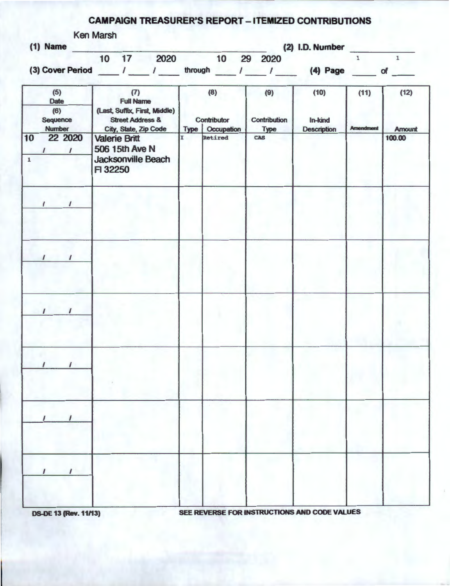## CAMPAIGN TREASURER'S REPORT \_ ITEMIZED CONTRIBUTIONS

| (1) Name                       | Ken Marsh<br>(2) I.D. Number                                                            |                                     |                           |                    |                  |                         |
|--------------------------------|-----------------------------------------------------------------------------------------|-------------------------------------|---------------------------|--------------------|------------------|-------------------------|
|                                | 10 17 2020                                                                              | 10 29 2020                          |                           |                    | $\mathbf 1$      | $\mathbf{1}$            |
|                                | (3) Cover Period ___ / ___ / ___ through ___ / ___ / ___ (4) Page ___ of ___            |                                     |                           |                    |                  |                         |
| (5)<br>Date<br>(6)<br>Sequence | (7)<br><b>Full Name</b><br>(Last, Suffix, First, Middle)<br><b>Street Address &amp;</b> | (8)<br>Contributor                  | (9)<br>Contribution       | (10)<br>In-kind    | (11)             | (12)                    |
| <b>Number</b><br>10<br>22 2020 | City, State, Zip Code<br><b>Valerie Britt</b>                                           | <b>Type   Occupation</b><br>Retired | <b>Type</b><br><b>CAS</b> | <b>Description</b> | <b>Amendment</b> | <b>Amount</b><br>100.00 |
| $\sqrt{1}$<br>$\mathbf{1}$     | 506 15th Ave N<br>Jacksonville Beach<br>F 32250                                         |                                     |                           |                    |                  |                         |
| $\prime$<br>ı                  |                                                                                         |                                     |                           |                    |                  |                         |
| $\prime$<br>$\prime$           |                                                                                         |                                     |                           |                    |                  |                         |
| $\mathbf{I}$<br>$\prime$       |                                                                                         |                                     |                           |                    |                  |                         |
|                                |                                                                                         |                                     |                           |                    |                  |                         |
|                                |                                                                                         |                                     |                           |                    |                  |                         |
|                                |                                                                                         |                                     |                           |                    |                  |                         |

**DS-DE 13 (Rev. 11/13)** 

SEE REVERSE FOR INSTRUCTIONS AND CODE VALUES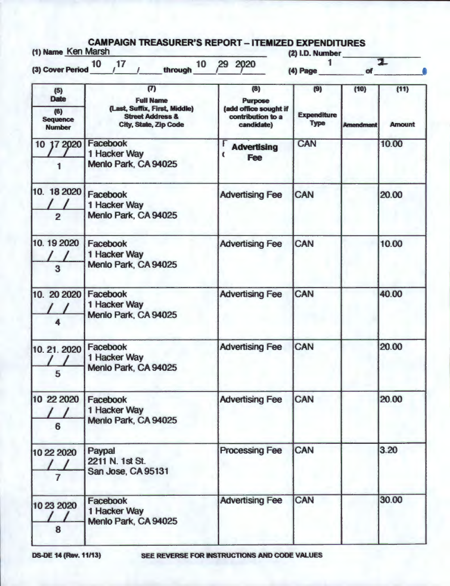| (1) Name Ken Marsh                           | through 10<br>(3) Cover Period $10$ $17$                                                                         | 29 2020                                                                    | (2) I.D. Number<br>(4) Page              | <b>of</b>                | 고                     |
|----------------------------------------------|------------------------------------------------------------------------------------------------------------------|----------------------------------------------------------------------------|------------------------------------------|--------------------------|-----------------------|
| (5)<br><b>Date</b><br>(6)<br><b>Sequence</b> | (T)<br><b>Full Name</b><br>(Last, Suffix, First, Middle)<br><b>Street Address &amp;</b><br>City, State, Zip Code | (8)<br>Purpose<br>(add office sought if<br>contribution to a<br>candidate) | (9)<br><b>Expenditure</b><br><b>Type</b> | (10)<br><b>Amendment</b> | (11)<br><b>Amount</b> |
| <b>Number</b><br>10 17 2020                  | Facebook<br>1 Hacker Way<br>Menlo Park, CA 94025                                                                 | <b>Advertising</b><br><b>Fee</b>                                           | CAN                                      |                          | 10.00                 |
| 10. 18 2020<br>$\overline{2}$                | Facebook<br>1 Hacker Way<br>Menlo Park, CA 94025                                                                 | <b>Advertising Fee</b>                                                     | <b>CAN</b>                               |                          | 20.00                 |
| 10.19 2020<br>3                              | Facebook<br>1 Hacker Way<br>Menlo Park, CA 94025                                                                 | <b>Advertising Fee</b>                                                     | CAN                                      |                          | 10.00                 |
| 10. 20 20 20<br>4                            | Facebook<br>1 Hacker Way<br>Menlo Park, CA 94025                                                                 | <b>Advertising Fee</b>                                                     | CAN                                      |                          | 40.00                 |
| 10. 21. 2020<br>5                            | Facebook<br>1 Hacker Way<br>Menlo Park, CA 94025                                                                 | <b>Advertising Fee</b>                                                     | CAN                                      |                          | 20.00                 |
| 10 22 2020<br>6                              | Facebook<br>1 Hacker Way<br>Menlo Park, CA 94025                                                                 | <b>Advertising Fee</b>                                                     | CAN                                      |                          | 20.00                 |
| 10 22 2020<br>7                              | Paypal<br>2211 N. 1st St.<br>San Jose, CA 95131                                                                  | <b>Processing Fee</b>                                                      | CAN                                      |                          | 3.20                  |
| 10 23 2020<br>8                              | Facebook<br>1 Hacker Way<br>Menlo Park, CA 94025                                                                 | <b>Advertising Fee</b>                                                     | CAN                                      |                          | 30.00                 |

OS.OE **14 (Rev.** 11/13) SEE REVERSE FOR INSTRUCTIONS AND CODE VALUES